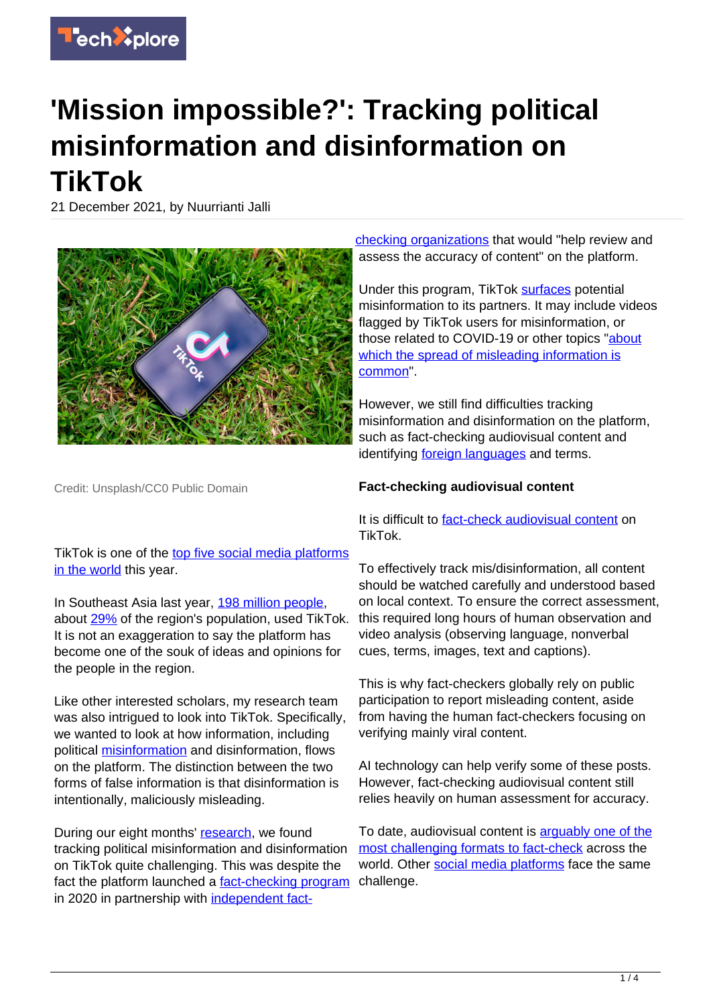

## **'Mission impossible?': Tracking political misinformation and disinformation on TikTok**

21 December 2021, by Nuurrianti Jalli



Credit: Unsplash/CC0 Public Domain

TikTok is one of the [top five social media platforms](https://w3-lab.com/is-tiktok-the-fastest-growing-social-media-platform-in-2021/) [in the world](https://w3-lab.com/is-tiktok-the-fastest-growing-social-media-platform-in-2021/) this year.

In Southeast Asia last year, [198 million people,](https://www.businessofapps.com/data/tik-tok-statistics/) about [29%](https://www.worldometers.info/world-population/south-eastern-asia-population/) of the region's population, used TikTok. It is not an exaggeration to say the platform has become one of the souk of ideas and opinions for the people in the region.

Like other interested scholars, my research team was also intrigued to look into TikTok. Specifically, we wanted to look at how information, including political [misinformation](https://techxplore.com/tags/misinformation/) and disinformation, flows on the platform. The distinction between the two forms of false information is that disinformation is intentionally, maliciously misleading.

During our eight months' [research,](https://sites.google.com/view/techcamp-tiktok/home) we found tracking political misinformation and disinformation on TikTok quite challenging. This was despite the fact the platform launched a [fact-checking program](https://www.tiktok.com/safety/resources/transparency-report-2020-1?lang=en) in 2020 in partnership with [independent fact-](https://www.tiktok.com/safety/en/safety-partners/)

[checking organizations](https://www.tiktok.com/safety/en/safety-partners/) that would "help review and assess the accuracy of content" on the platform.

Under this program, TikTok [surfaces](https://www.politifact.com/article/2020/oct/19/how-facebook-tiktok-are-addressing-misinformation-/) potential misinformation to its partners. It may include videos flagged by TikTok users for misinformation, or those related to COVID-19 or other topics "[about](https://www.nbcnews.com/tech/tech-news/tiktok-warn-users-about-sharing-misleading-content-n1256668) [which the spread of misleading information is](https://www.nbcnews.com/tech/tech-news/tiktok-warn-users-about-sharing-misleading-content-n1256668) [common"](https://www.nbcnews.com/tech/tech-news/tiktok-warn-users-about-sharing-misleading-content-n1256668).

However, we still find difficulties tracking misinformation and disinformation on the platform, such as fact-checking audiovisual content and identifying **foreign languages** and terms.

#### **Fact-checking audiovisual content**

It is difficult to [fact-check audiovisual content](https://restofworld.org/2021/tiktok-is-repeating-facebooks-mistakes-in-myanmar/) on TikTok.

To effectively track mis/disinformation, all content should be watched carefully and understood based on local context. To ensure the correct assessment, this required long hours of human observation and video analysis (observing language, nonverbal cues, terms, images, text and captions).

This is why fact-checkers globally rely on public participation to report misleading content, aside from having the human fact-checkers focusing on verifying mainly viral content.

AI technology can help verify some of these posts. However, fact-checking audiovisual content still relies heavily on human assessment for accuracy.

To date, audiovisual content is [arguably one of the](https://www.ijcai.org/proceedings/2021/0619.pdf) [most challenging formats to fact-check](https://www.ijcai.org/proceedings/2021/0619.pdf) across the world. Other [social media platforms](https://techxplore.com/tags/social+media+platforms/) face the same challenge.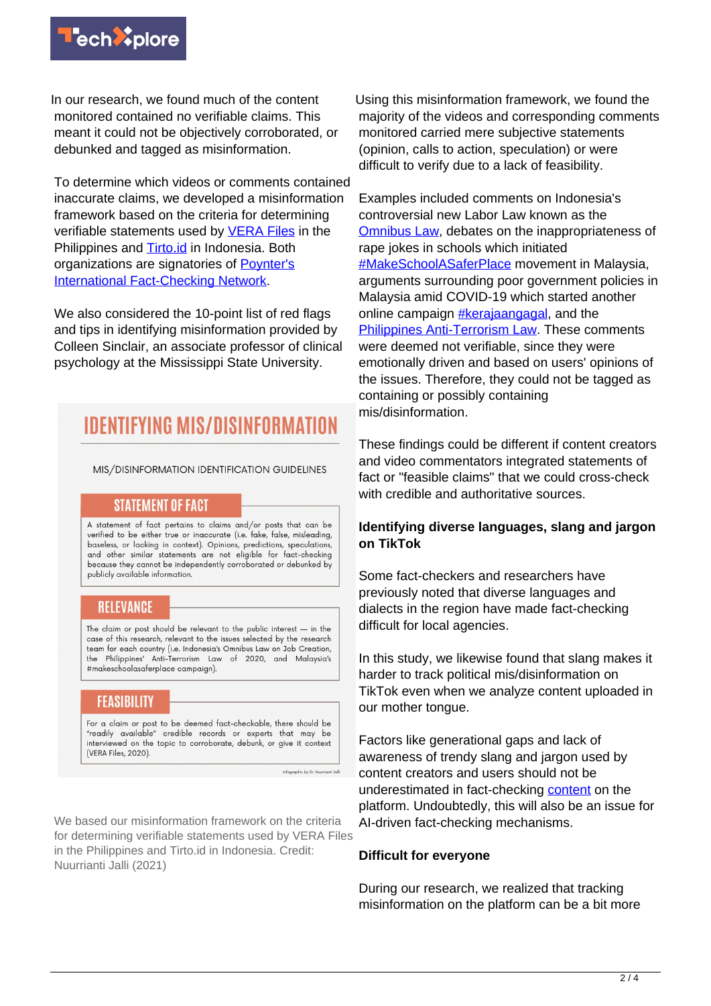

In our research, we found much of the content monitored contained no verifiable claims. This meant it could not be objectively corroborated, or debunked and tagged as misinformation.

To determine which videos or comments contained inaccurate claims, we developed a misinformation framework based on the criteria for determining verifiable statements used by [VERA Files](https://verafiles.org/articles/what-you-want-know-about-vera-files-fact-check) in the Philippines and [Tirto.id](https://tirto.id/insider/metodologiriset) in Indonesia. Both organizations are signatories of [Poynter's](https://www.poynter.org/ifcn/) **[International Fact-Checking Network](https://www.poynter.org/ifcn/).** 

We also considered the 10-point list of red flags and tips in identifying misinformation provided by Colleen Sinclair, an associate professor of clinical psychology at the Mississippi State University.

### **IDENTIFYING MIS/DISINFORMATIO**

MIS/DISINFORMATION IDENTIFICATION GUIDELINES

#### **STATEMENT OF FACT**

A statement of fact pertains to claims and/or posts that can be verified to be either true or inaccurate (i.e. fake, false, misleading, baseless, or lacking in context). Opinions, predictions, speculations, and other similar statements are not eligible for fact-checking because they cannot be independently corroborated or debunked by publicly available information.

#### **RELEVANCE**

The claim or post should be relevant to the public interest  $-$  in the case of this research, relevant to the issues selected by the research team for each country (i.e. Indonesia's Omnibus Law on Job Creation, the Philippines' Anti-Terrorism Law of 2020, and Malaysia's #makeschoolasaferplace campaign).

#### **FEASIBILITY**

For a claim or post to be deemed fact-checkable, there should be "readily available" credible records or experts that may be interviewed on the topic to corroborate, debunk, or give it context (VERA Files, 2020).

Infographic by Dr. N

We based our misinformation framework on the criteria for determining verifiable statements used by VERA Files in the Philippines and Tirto.id in Indonesia. Credit: Nuurrianti Jalli (2021)

Using this misinformation framework, we found the majority of the videos and corresponding comments monitored carried mere subjective statements (opinion, calls to action, speculation) or were difficult to verify due to a lack of feasibility.

Examples included comments on Indonesia's controversial new Labor Law known as the [Omnibus Law,](https://www.nytimes.com/2020/11/03/world/asia/indonesia-stimulus-bill-signed.html) debates on the inappropriateness of rape jokes in schools which initiated [#MakeSchoolASaferPlace](https://www.scmp.com/week-asia/people/article/3144201/makeschoolasaferplace-anger-and-dismay-after-malaysia-investigates) movement in Malaysia, arguments surrounding poor government policies in Malaysia amid COVID-19 which started another online campaign [#kerajaangagal,](https://malaysia.news.yahoo.com/pm-tells-rakyat-patient-dont-051000657.html?guccounter=1&guce_referrer=aHR0cHM6Ly93d3cuZ29vZ2xlLmNvbS8&guce_referrer_sig=AQAAABm7qor0s-RYbxsUzBCw3I1doQxDvB9ZZM2VC1k3Ev9mJGZJOah38Mpm8GGLhCF0Hqj_QWfO5vR3ilpAegCpgPrcI8Z7w8g8K1lTjj-4lKywI09UIMKa15Soi_IHlxZ0WxG7y13SjoIUSjghii1R0ZyF0BjzdxhraHX0UvuuWX4P) and the [Philippines Anti-Terrorism Law.](https://monitor.civicus.org/updates/2021/02/22/activists-and-journalists-targeted-draconian-anti-terror-law-challenged-philippines/) These comments were deemed not verifiable, since they were emotionally driven and based on users' opinions of the issues. Therefore, they could not be tagged as containing or possibly containing mis/disinformation.

These findings could be different if content creators and video commentators integrated statements of fact or "feasible claims" that we could cross-check with credible and authoritative sources.

#### **Identifying diverse languages, slang and jargon on TikTok**

Some fact-checkers and researchers have previously noted that diverse languages and dialects in the region have made fact-checking difficult for local agencies.

In this study, we likewise found that slang makes it harder to track political mis/disinformation on TikTok even when we analyze content uploaded in our mother tongue.

Factors like generational gaps and lack of awareness of trendy slang and jargon used by content creators and users should not be underestimated in fact-checking [content](https://techxplore.com/tags/content/) on the platform. Undoubtedly, this will also be an issue for AI-driven fact-checking mechanisms.

#### **Difficult for everyone**

During our research, we realized that tracking misinformation on the platform can be a bit more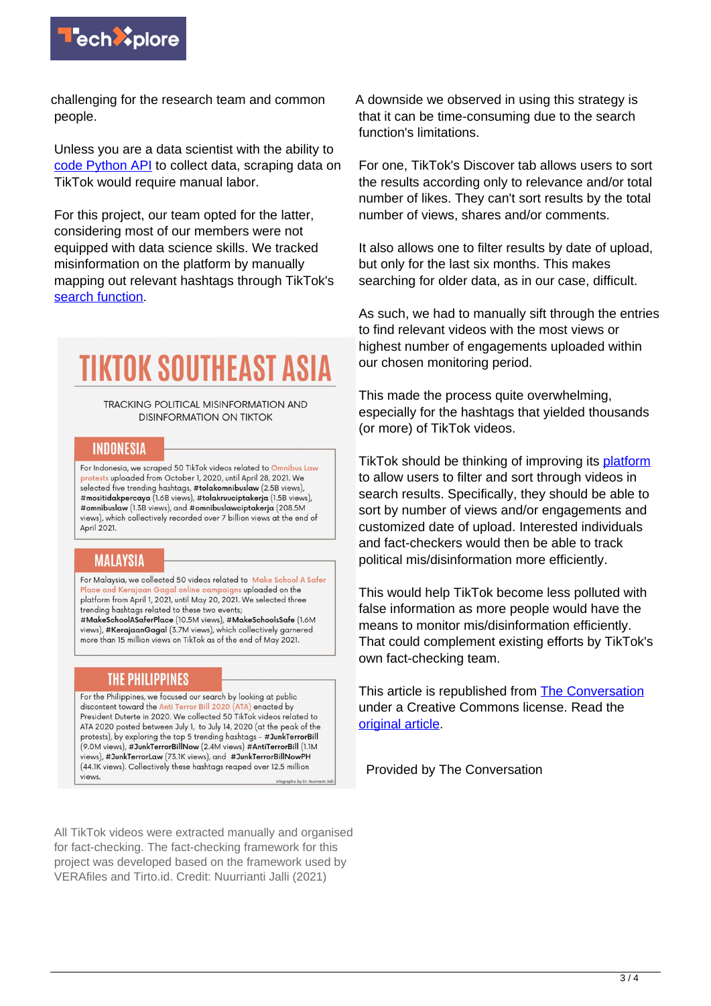

challenging for the research team and common people.

Unless you are a data scientist with the ability to [code Python API](https://towardsdatascience.com/how-to-collect-data-from-tiktok-tutorial-ab848b40d191) to collect data, scraping data on TikTok would require manual labor.

For this project, our team opted for the latter, considering most of our members were not equipped with data science skills. We tracked misinformation on the platform by manually mapping out relevant hashtags through TikTok's [search function.](https://support.tiktok.com/en/using-tiktok/exploring-videos/discover-and-search)

# **TIKTOK SOUTHEAST ASIA**

TRACKING POLITICAL MISINFORMATION AND **DISINFORMATION ON TIKTOK** 

#### **INDONESIA**

For Indonesia, we scraped 50 TikTok videos related to Omnibus Law protests uploaded from October 1, 2020, until April 28, 2021. We selected five trending hashtags, #tolakomnibuslaw (2.5B views), #mositidakpercaya (1.6B views), #tolakruuciptakerja (1.5B views), #omnibuslaw (1.3B views), and #omnibuslawciptakerja (208.5M views), which collectively recorded over 7 billion views at the end of April 2021.

#### **MALAYSIA**

For Malaysia, we collected 50 videos related to Make School A Safer e and Kerajaan Gagal online campai<mark>ans upl</mark>oaded on the platform from April 1, 2021, until May 20, 2021. We selected three trending hashtags related to these two events; #MakeSchoolASaferPlace (10.5M views), #MakeSchoolsSafe (1.6M views), #KerajaanGagal (3.7M views), which collectively garnered more than 15 million views on TikTok as of the end of May 2021.

#### **THE PHILIPPINES**

For the Philippines, we focused our search by looking at public discontent toward the Anti Terror Bill 2020 (ATA) enacted by President Duterte in 2020. We collected 50 TikTok videos related to ATA 2020 posted between July 1, to July 14, 2020 (at the peak of the protests), by exploring the top 5 trending hashtags - #JunkTerrorBill (9.0M views), #JunkTerrorBillNow (2.4M views) #AntiTerrorBill (1.1M views), #JunkTerrorLaw (73.1K views), and #JunkTerrorBillNowPH (44.1K views). Collectively these hashtags reaped over 12.5 million views

All TikTok videos were extracted manually and organised for fact-checking. The fact-checking framework for this project was developed based on the framework used by VERAfiles and Tirto.id. Credit: Nuurrianti Jalli (2021)

A downside we observed in using this strategy is that it can be time-consuming due to the search function's limitations.

For one, TikTok's Discover tab allows users to sort the results according only to relevance and/or total number of likes. They can't sort results by the total number of views, shares and/or comments.

It also allows one to filter results by date of upload, but only for the last six months. This makes searching for older data, as in our case, difficult.

As such, we had to manually sift through the entries to find relevant videos with the most views or highest number of engagements uploaded within our chosen monitoring period.

This made the process quite overwhelming, especially for the hashtags that yielded thousands (or more) of TikTok videos.

TikTok should be thinking of improving its [platform](https://techxplore.com/tags/platform/) to allow users to filter and sort through videos in search results. Specifically, they should be able to sort by number of views and/or engagements and customized date of upload. Interested individuals and fact-checkers would then be able to track political mis/disinformation more efficiently.

This would help TikTok become less polluted with false information as more people would have the means to monitor mis/disinformation efficiently. That could complement existing efforts by TikTok's own fact-checking team.

This article is republished from [The Conversation](https://theconversation.com) under a Creative Commons license. Read the [original article](https://theconversation.com/mission-impossible-tracking-political-misinformation-and-disinformation-on-tiktok-173247).

Provided by The Conversation